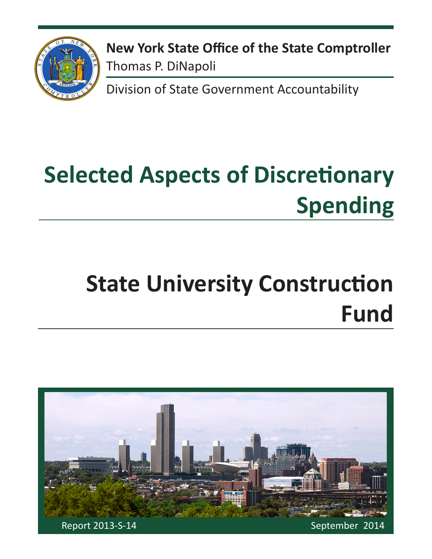

**New York State Office of the State Comptroller** Thomas P. DiNapoli

Division of State Government Accountability

# **Selected Aspects of Discretionary Spending**

# **State University Construction Fund**

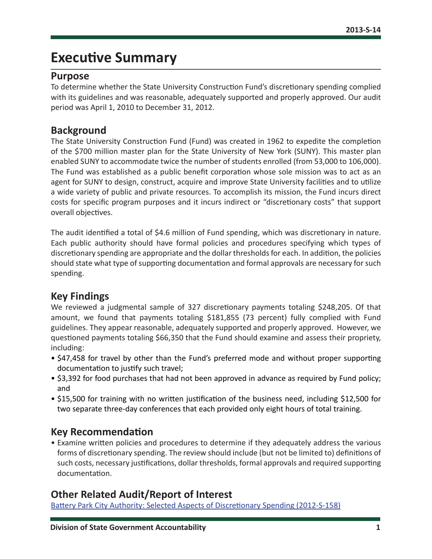# **Executive Summary**

### **Purpose**

To determine whether the State University Construction Fund's discretionary spending complied with its guidelines and was reasonable, adequately supported and properly approved. Our audit period was April 1, 2010 to December 31, 2012.

### **Background**

The State University Construction Fund (Fund) was created in 1962 to expedite the completion of the \$700 million master plan for the State University of New York (SUNY). This master plan enabled SUNY to accommodate twice the number of students enrolled (from 53,000 to 106,000). The Fund was established as a public benefit corporation whose sole mission was to act as an agent for SUNY to design, construct, acquire and improve State University facilities and to utilize a wide variety of public and private resources. To accomplish its mission, the Fund incurs direct costs for specific program purposes and it incurs indirect or "discretionary costs" that support overall objectives.

The audit identified a total of \$4.6 million of Fund spending, which was discretionary in nature. Each public authority should have formal policies and procedures specifying which types of discretionary spending are appropriate and the dollar thresholds for each. In addition, the policies should state what type of supporting documentation and formal approvals are necessary for such spending.

### **Key Findings**

We reviewed a judgmental sample of 327 discretionary payments totaling \$248,205. Of that amount, we found that payments totaling \$181,855 (73 percent) fully complied with Fund guidelines. They appear reasonable, adequately supported and properly approved. However, we questioned payments totaling \$66,350 that the Fund should examine and assess their propriety, including:

- \$47,458 for travel by other than the Fund's preferred mode and without proper supporting documentation to justify such travel;
- \$3,392 for food purchases that had not been approved in advance as required by Fund policy; and
- \$15,500 for training with no written justification of the business need, including \$12,500 for two separate three-day conferences that each provided only eight hours of total training.

### **Key Recommendation**

• Examine written policies and procedures to determine if they adequately address the various forms of discretionary spending. The review should include (but not be limited to) definitions of such costs, necessary justifications, dollar thresholds, formal approvals and required supporting documentation.

### **Other Related Audit/Report of Interest**

[Battery Park City Authority: Selected Aspects of Discretionary Spending \(2012-S-158\)](http://osc.state.ny.us/audits/allaudits/093014/12s158.pdf#search=2012-S-158)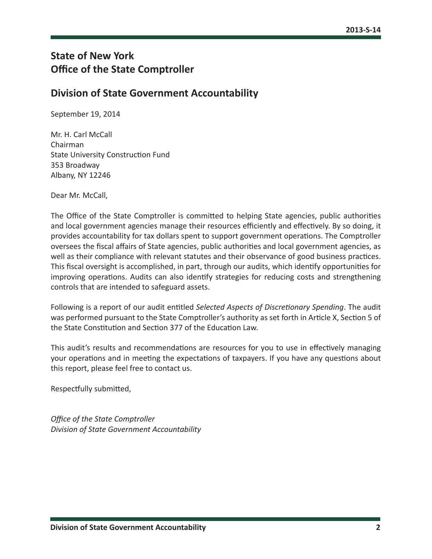### **State of New York Office of the State Comptroller**

### **Division of State Government Accountability**

September 19, 2014

Mr. H. Carl McCall Chairman State University Construction Fund 353 Broadway Albany, NY 12246

Dear Mr. McCall,

The Office of the State Comptroller is committed to helping State agencies, public authorities and local government agencies manage their resources efficiently and effectively. By so doing, it provides accountability for tax dollars spent to support government operations. The Comptroller oversees the fiscal affairs of State agencies, public authorities and local government agencies, as well as their compliance with relevant statutes and their observance of good business practices. This fiscal oversight is accomplished, in part, through our audits, which identify opportunities for improving operations. Audits can also identify strategies for reducing costs and strengthening controls that are intended to safeguard assets.

Following is a report of our audit entitled *Selected Aspects of Discretionary Spending*. The audit was performed pursuant to the State Comptroller's authority as set forth in Article X, Section 5 of the State Constitution and Section 377 of the Education Law.

This audit's results and recommendations are resources for you to use in effectively managing your operations and in meeting the expectations of taxpayers. If you have any questions about this report, please feel free to contact us.

Respectfully submitted,

*Office of the State Comptroller Division of State Government Accountability*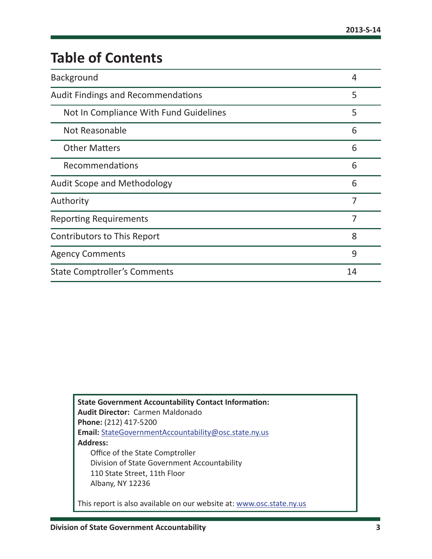# **Table of Contents**

| Background                                | 4  |
|-------------------------------------------|----|
| <b>Audit Findings and Recommendations</b> | 5  |
| Not In Compliance With Fund Guidelines    | 5  |
| Not Reasonable                            | 6  |
| <b>Other Matters</b>                      | 6  |
| Recommendations                           | 6  |
| <b>Audit Scope and Methodology</b>        | 6  |
| Authority                                 | 7  |
| <b>Reporting Requirements</b>             | 7  |
| Contributors to This Report               | 8  |
| <b>Agency Comments</b>                    | 9  |
| <b>State Comptroller's Comments</b>       | 14 |

**State Government Accountability Contact Information: Audit Director:** Carmen Maldonado **Phone:** (212) 417-5200 **Email:** [StateGovernmentAccountability@osc.state.ny.us](mailto:StateGovernmentAccountability%40osc.state.ny.us?subject=) **Address:** Office of the State Comptroller Division of State Government Accountability 110 State Street, 11th Floor Albany, NY 12236

This report is also available on our website at: [www.osc.state.ny.us](http://www.osc.state.ny.us)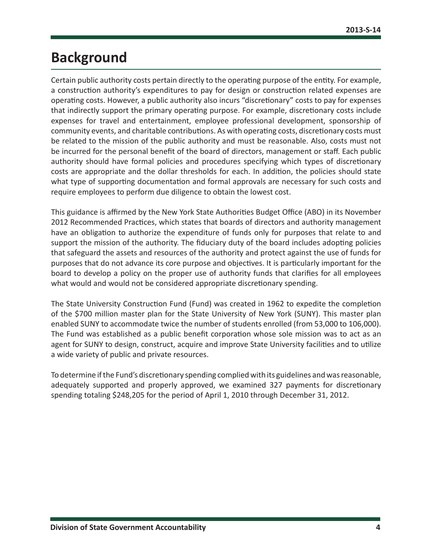# <span id="page-4-0"></span>**Background**

Certain public authority costs pertain directly to the operating purpose of the entity. For example, a construction authority's expenditures to pay for design or construction related expenses are operating costs. However, a public authority also incurs "discretionary" costs to pay for expenses that indirectly support the primary operating purpose. For example, discretionary costs include expenses for travel and entertainment, employee professional development, sponsorship of community events, and charitable contributions. As with operating costs, discretionary costs must be related to the mission of the public authority and must be reasonable. Also, costs must not be incurred for the personal benefit of the board of directors, management or staff. Each public authority should have formal policies and procedures specifying which types of discretionary costs are appropriate and the dollar thresholds for each. In addition, the policies should state what type of supporting documentation and formal approvals are necessary for such costs and require employees to perform due diligence to obtain the lowest cost.

This guidance is affirmed by the New York State Authorities Budget Office (ABO) in its November 2012 Recommended Practices, which states that boards of directors and authority management have an obligation to authorize the expenditure of funds only for purposes that relate to and support the mission of the authority. The fiduciary duty of the board includes adopting policies that safeguard the assets and resources of the authority and protect against the use of funds for purposes that do not advance its core purpose and objectives. It is particularly important for the board to develop a policy on the proper use of authority funds that clarifies for all employees what would and would not be considered appropriate discretionary spending.

The State University Construction Fund (Fund) was created in 1962 to expedite the completion of the \$700 million master plan for the State University of New York (SUNY). This master plan enabled SUNY to accommodate twice the number of students enrolled (from 53,000 to 106,000). The Fund was established as a public benefit corporation whose sole mission was to act as an agent for SUNY to design, construct, acquire and improve State University facilities and to utilize a wide variety of public and private resources.

To determine if the Fund's discretionary spending complied with its guidelines and was reasonable, adequately supported and properly approved, we examined 327 payments for discretionary spending totaling \$248,205 for the period of April 1, 2010 through December 31, 2012.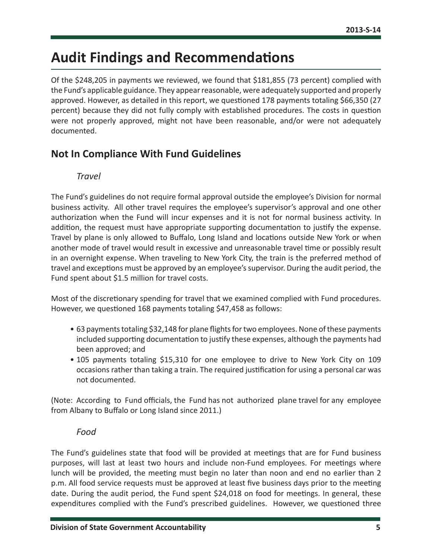# <span id="page-5-0"></span>**Audit Findings and Recommendations**

Of the \$248,205 in payments we reviewed, we found that \$181,855 (73 percent) complied with the Fund's applicable guidance. They appear reasonable, were adequately supported and properly approved. However, as detailed in this report, we questioned 178 payments totaling \$66,350 (27 percent) because they did not fully comply with established procedures. The costs in question were not properly approved, might not have been reasonable, and/or were not adequately documented.

### **Not In Compliance With Fund Guidelines**

### *Travel*

The Fund's guidelines do not require formal approval outside the employee's Division for normal business activity. All other travel requires the employee's supervisor's approval and one other authorization when the Fund will incur expenses and it is not for normal business activity. In addition, the request must have appropriate supporting documentation to justify the expense. Travel by plane is only allowed to Buffalo, Long Island and locations outside New York or when another mode of travel would result in excessive and unreasonable travel time or possibly result in an overnight expense. When traveling to New York City, the train is the preferred method of travel and exceptions must be approved by an employee's supervisor. During the audit period, the Fund spent about \$1.5 million for travel costs.

Most of the discretionary spending for travel that we examined complied with Fund procedures. However, we questioned 168 payments totaling \$47,458 as follows:

- 63 payments totaling \$32,148 for plane flights for two employees. None of these payments included supporting documentation to justify these expenses, although the payments had been approved; and
- 105 payments totaling \$15,310 for one employee to drive to New York City on 109 occasions rather than taking a train. The required justification for using a personal car was not documented.

(Note: According to Fund officials, the Fund has not authorized plane travel for any employee from Albany to Buffalo or Long Island since 2011.)

### *Food*

The Fund's guidelines state that food will be provided at meetings that are for Fund business purposes, will last at least two hours and include non-Fund employees. For meetings where lunch will be provided, the meeting must begin no later than noon and end no earlier than 2 p.m. All food service requests must be approved at least five business days prior to the meeting date. During the audit period, the Fund spent \$24,018 on food for meetings. In general, these expenditures complied with the Fund's prescribed guidelines. However, we questioned three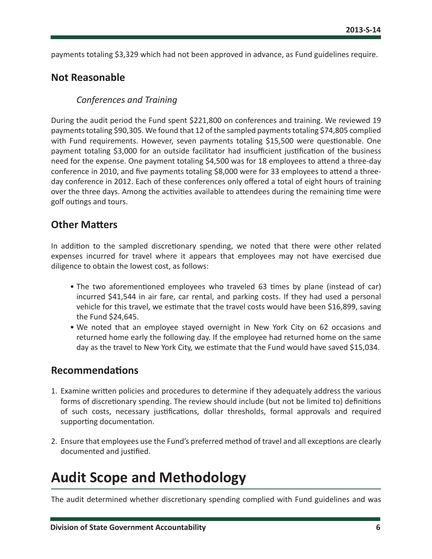<span id="page-6-0"></span>payments totaling \$3,329 which had not been approved in advance, as Fund guidelines require.

### **Not Reasonable**

### *Conferences and Training*

During the audit period the Fund spent \$221,800 on conferences and training. We reviewed 19 payments totaling \$90,305. We found that 12 of the sampled payments totaling \$74,805 complied with Fund requirements. However, seven payments totaling \$15,500 were questionable. One payment totaling \$3,000 for an outside facilitator had insufficient justification of the business need for the expense. One payment totaling \$4,500 was for 18 employees to attend a three-day conference in 2010, and five payments totaling \$8,000 were for 33 employees to attend a threeday conference in 2012. Each of these conferences only offered a total of eight hours of training over the three days. Among the activities available to attendees during the remaining time were golf outings and tours.

### **Other Matters**

In addition to the sampled discretionary spending, we noted that there were other related expenses incurred for travel where it appears that employees may not have exercised due diligence to obtain the lowest cost, as follows:

- The two aforementioned employees who traveled 63 times by plane (instead of car) incurred \$41,544 in air fare, car rental, and parking costs. If they had used a personal vehicle for this travel, we estimate that the travel costs would have been \$16,899, saving the Fund \$24,645.
- We noted that an employee stayed overnight in New York City on 62 occasions and returned home early the following day. If the employee had returned home on the same day as the travel to New York City, we estimate that the Fund would have saved \$15,034.

### **Recommendations**

- 1. Examine written policies and procedures to determine if they adequately address the various forms of discretionary spending. The review should include (but not be limited to) definitions of such costs, necessary justifications, dollar thresholds, formal approvals and required supporting documentation.
- 2. Ensure that employees use the Fund's preferred method of travel and all exceptions are clearly documented and justified.

# **Audit Scope and Methodology**

The audit determined whether discretionary spending complied with Fund guidelines and was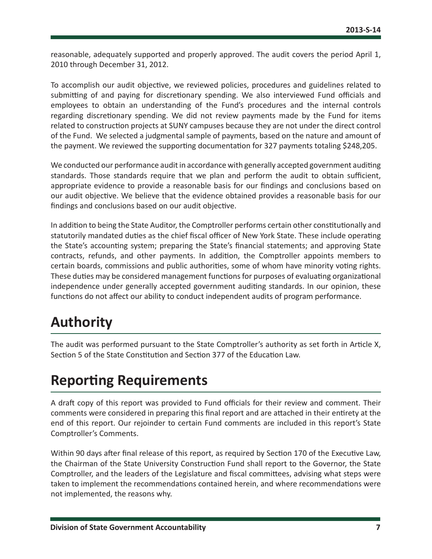<span id="page-7-0"></span>reasonable, adequately supported and properly approved. The audit covers the period April 1, 2010 through December 31, 2012.

To accomplish our audit objective, we reviewed policies, procedures and guidelines related to submitting of and paying for discretionary spending. We also interviewed Fund officials and employees to obtain an understanding of the Fund's procedures and the internal controls regarding discretionary spending. We did not review payments made by the Fund for items related to construction projects at SUNY campuses because they are not under the direct control of the Fund. We selected a judgmental sample of payments, based on the nature and amount of the payment. We reviewed the supporting documentation for 327 payments totaling \$248,205.

We conducted our performance audit in accordance with generally accepted government auditing standards. Those standards require that we plan and perform the audit to obtain sufficient, appropriate evidence to provide a reasonable basis for our findings and conclusions based on our audit objective. We believe that the evidence obtained provides a reasonable basis for our findings and conclusions based on our audit objective.

In addition to being the State Auditor, the Comptroller performs certain other constitutionally and statutorily mandated duties as the chief fiscal officer of New York State. These include operating the State's accounting system; preparing the State's financial statements; and approving State contracts, refunds, and other payments. In addition, the Comptroller appoints members to certain boards, commissions and public authorities, some of whom have minority voting rights. These duties may be considered management functions for purposes of evaluating organizational independence under generally accepted government auditing standards. In our opinion, these functions do not affect our ability to conduct independent audits of program performance.

# **Authority**

The audit was performed pursuant to the State Comptroller's authority as set forth in Article X, Section 5 of the State Constitution and Section 377 of the Education Law.

# **Reporting Requirements**

A draft copy of this report was provided to Fund officials for their review and comment. Their comments were considered in preparing this final report and are attached in their entirety at the end of this report. Our rejoinder to certain Fund comments are included in this report's State Comptroller's Comments.

Within 90 days after final release of this report, as required by Section 170 of the Executive Law, the Chairman of the State University Construction Fund shall report to the Governor, the State Comptroller, and the leaders of the Legislature and fiscal committees, advising what steps were taken to implement the recommendations contained herein, and where recommendations were not implemented, the reasons why.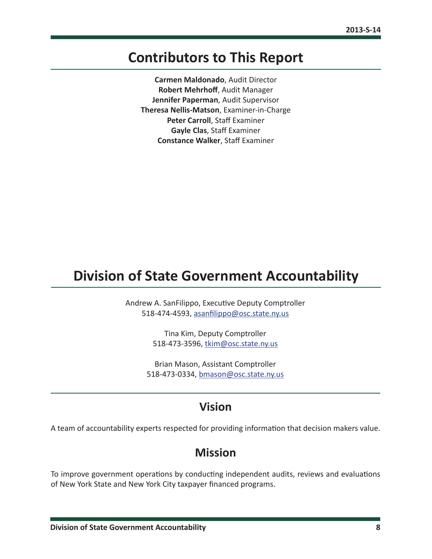# <span id="page-8-0"></span>**Contributors to This Report**

**Carmen Maldonado**, Audit Director **Robert Mehrhoff**, Audit Manager **Jennifer Paperman**, Audit Supervisor **Theresa Nellis-Matson**, Examiner-in-Charge **Peter Carroll**, Staff Examiner **Gayle Clas**, Staff Examiner **Constance Walker**, Staff Examiner

# **Division of State Government Accountability**

Andrew A. SanFilippo, Executive Deputy Comptroller 518-474-4593, [asanfilippo@osc.state.ny.us](mailto:asanfilippo%40osc.state.ny.us%0D?subject=)

> Tina Kim, Deputy Comptroller 518-473-3596, [tkim@osc.state.ny.us](mailto:tkim%40osc.state.ny.us?subject=)

Brian Mason, Assistant Comptroller 518-473-0334, [bmason@osc.state.ny.us](mailto:bmason%40osc.state.ny.us?subject=)

### **Vision**

A team of accountability experts respected for providing information that decision makers value.

### **Mission**

To improve government operations by conducting independent audits, reviews and evaluations of New York State and New York City taxpayer financed programs.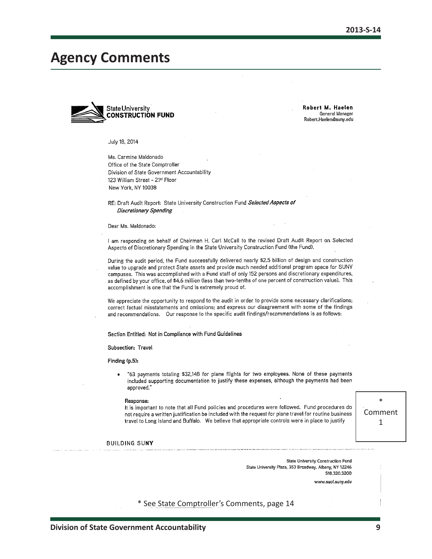## <span id="page-9-0"></span>**Agency Comments**



Robert M. Haelen General Manager Robert.Haelen@suny.edu

July 18, 2014

Ms. Carmine Maldonado Office of the State Comptroller Division of State Government Accountability 123 William Street - 21st Floor New York, NY 10038

RE: Draft Audit Report: State University Construction Fund Selected Aspects of **Discretionary Spending** 

#### Dear Ms. Maldonado:

I am responding on behalf of Chairman H. Carl McCall to the revised Draft Audit Report on Selected Aspects of Discretionary Spending in the State University Construction Fund (the Fund).

During the audit period, the Fund successfully delivered nearly \$2.5 billion of design and construction value to upgrade and protect State assets and provide much needed additional program space for SUNY campuses. This was accomplished with a Fund staff of only 152 persons and discretionary expenditures, as defined by your office, of \$4.6 million (less than two-tenths of one percent of construction value). This accomplishment is one that the Fund is extremely proud of.

We appreciate the opportunity to respond to the audit in order to provide some necessary clarifications; correct factual misstatements and omissions; and express our disagreement with some of the findings and recommendations. Our response to the specific audit findings/recommendations is as follows:

Section Entitled: Not in Compliance with Fund Guidelines

Subsection: Travel

Finding (p.5):

"63 payments totaling \$32,148 for plane flights for two employees. None of these payments  $\bullet$ included supporting documentation to justify these expenses, although the payments had been approved."

#### Response:

It is important to note that all Fund policies and procedures were followed. Fund procedures do not require a written justification be included with the request for plane travel for routine business travel to Long Island and Buffalo. We believe that appropriate controls were in place to justify

\* Comment 1

**BUILDING SUNY** 

State University Construction Fund State University Plaza, 353 Broadway, Albany, NY 12246 518.320.3200 www.sucf.sunv.edu

\* See State Comptroller's Comments, page 14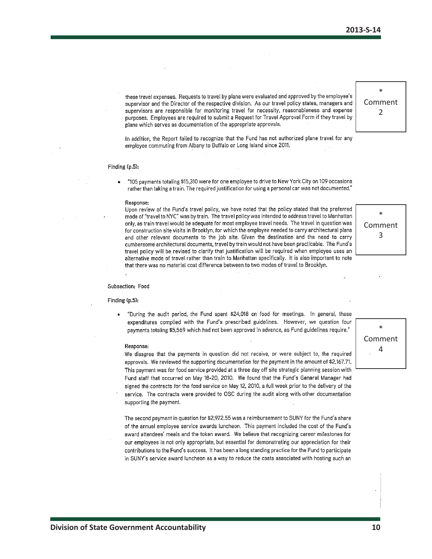these travel expenses. Requests to travel by plane were evaluated and approved by the employee's supervisor and the Director of the respective division. As our travel policy states, managers and supervisors are responsible for monitoring travel for necessity, reasonableness and expense purposes. Employees are required to submit a Request for Travel Approval Form if they travel by plane which serves as documentation of the appropriate approvals.

In addition, the Report failed to recognize that the Fund has not authorized plane travel for any employee commuting from Albany to Buffalo or Long Island since 2011.

#### Finding (p.5):

"105 payments totaling \$15,310 were for one employee to drive to New York City on 109 occasions rather than taking a train. The required justification for using a personal car was not documented."

#### Response:

Upon review of the Fund's travel policy, we have noted that the policy stated that the preferred mode of "travel to NYC" was by train. The travel policy was intended to address travel to Manhattan only, as train travel would be adequate for most employee travel needs. The travel in question was for construction site visits in Brooklyn, for which the employee needed to carry architectural plans and other relevant documents to the job site. Given the destination and the need to carry cumbersome architectural documents, travel by train would not have been practicable. The Fund's travel policy will be revised to clarify that justification will be required when employee uses an alternative mode of travel rather than train to Manhattan specifically. It is also important to note that there was no material cost difference between to two modes of travel to Brooklyn.



\* Comment 2

#### Subsection: Food

#### Finding (p.5).

"During the audit period, the Fund spent \$24,018 on food for meetings. In general, these  $\bullet$ expenditures complied with the Fund's prescribed guidelines. However, we question four payments totaling \$5,569 which had not been approved in advance, as Fund guidelines require."

#### Response:

We disagree that the payments in question did not receive, or were subject to, the required approvals. We reviewed the supporting documentation for the payment in the amount of \$2,167.71. This payment was for food service provided at a three day off site strategic planning session with Fund staff that occurred on May 18-20, 2010. We found that the Fund's General Manager had signed the contracts for the food service on May 12, 2010, a full week prior to the delivery of the service. The contracts were provided to OSC during the audit along with other documentation supporting the payment.

The second payment in question for \$2,972.55 was a reimbursement to SUNY for the Fund's share of the annual employee service awards luncheon. This payment included the cost of the Fund's award attendees' meals and the token award. We believe that recognizing career milestones for our employees is not only appropriate, but essential for demonstrating our appreciation for their contributions to the Fund's success. It has been a long standing practice for the Fund to participate in SUNY's service award luncheon as a way to reduce the costs associated with hosting such an

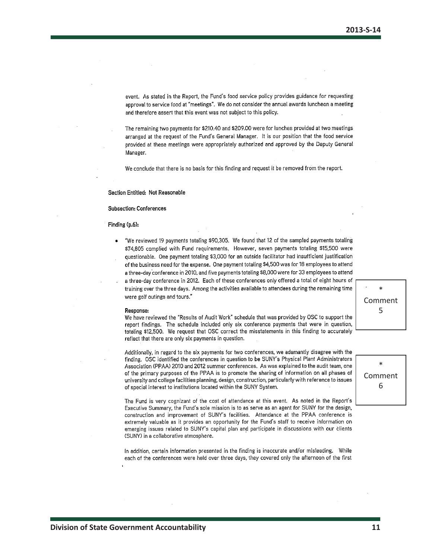event. As stated in the Report, the Fund's food service policy provides guidance for requesting approval to service food at "meetings". We do not consider the annual awards luncheon a meeting and therefore assert that this event was not subject to this policy.

The remaining two payments for \$210.40 and \$209.00 were for lunches provided at two meetings arranged at the request of the Fund's General Manager. It is our position that the food service provided at these meetings were appropriately authorized and approved by the Deputy General Manager.

We conclude that there is no basis for this finding and request it be removed from the report.

#### Section Entitled: Not Reasonable

#### **Subsection: Conferences**

### Finding (p.6):

"We reviewed 19 payments totaling \$90,305. We found that 12 of the sampled payments totaling \$74,805 complied with Fund requirements. However, seven payments totaling \$15,500 were questionable. One payment totaling \$3,000 for an outside facilitator had insufficient justification of the business need for the expense. One payment totaling \$4,500 was for 18 employees to attend a three-day conference in 2010, and five payments totaling \$8,000 were for 33 employees to attend a three-day conference in 2012. Each of these conferences only offered a total of eight hours of training over the three days. Among the activities available to attendees during the remaining time were golf outings and tours."

#### Response:

We have reviewed the "Results of Audit Work" schedule that was provided by OSC to support the report findings. The schedule included only six conference payments that were in question, totaling \$12,500. We request that OSC correct the misstatements in this finding to accurately reflect that there are only six payments in question.

Additionally, in regard to the six payments for two conferences, we adamantly disagree with the finding. OSC identified the conferences in question to be SUNY's Physical Plant Administrators Association (PPAA) 2010 and 2012 summer conferences. As was explained to the audit team, one of the primary purposes of the PPAA is to promote the sharing of information on all phases of university and college facilities planning, design, construction, particularly with reference to issues of special interest to institutions located within the SUNY System.

The Fund is very cognizant of the cost of attendance at this event. As noted in the Report's Executive Summary, the Fund's sole mission is to as serve as an agent for SUNY for the design, construction and improvement of SUNY's facilities. Attendance at the PPAA conference is extremely valuable as it provides an opportunity for the Fund's staff to receive information on emerging issues related to SUNY's capital plan and participate in discussions with our clients (SUNY) in a collaborative atmosphere.

In addition, certain information presented in the finding is inaccurate and/or misleading. While each of the conferences were held over three days, they covered only the afternoon of the first Comment 5

\*

\* Comment 6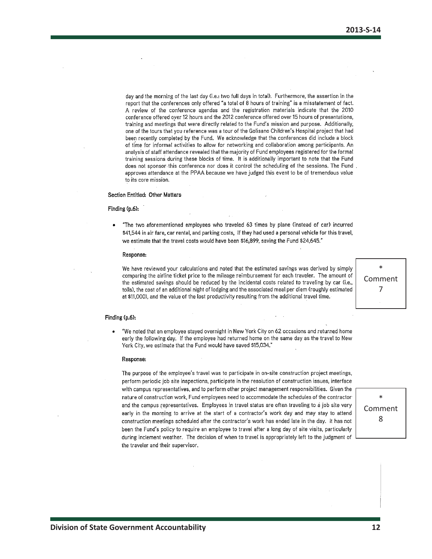day and the morning of the last day (i.e.: two full days in total). Furthermore, the assertion in the report that the conferences only offered "a total of 8 hours of training" is a misstatement of fact. A review of the conference agendas and the registration materials indicate that the 2010 conference offered over 12 hours and the 2012 conference offered over 15 hours of presentations, training and meetings that were directly related to the Fund's mission and purpose. Additionally, one of the tours that you reference was a tour of the Golisano Children's Hospital project that had been recently completed by the Fund. We acknowledge that the conferences did include a block of time for informal activities to allow for networking and collaboration among participants. An analysis of staff attendance revealed that the majority of Fund employees registered for the formal training sessions during these blocks of time. It is additionally important to note that the Fund does not sponsor this conference nor does it control the scheduling of the sessions. The Fund, approves attendance at the PPAA because we have judged this event to be of tremendous value to its core mission.

#### Section Entitled: Other Matters

### Finding (p.6):

"The two aforementioned employees who traveled 63 times by plane (instead of car) incurred  $\bullet$ \$41,544 in air fare, car rental, and parking costs, If they had used a personal vehicle for this travel, we estimate that the travel costs would have been \$16,899, saving the Fund \$24,645."

#### Response:

We have reviewed your calculations and noted that the estimated savings was derived by simply comparing the airline ticket price to the mileage reimbursement for each traveler. The amount of the estimated savings should be reduced by the incidental costs related to traveling by car (i.e., tolls), the cost of an additional night of lodging and the associated meal per diem (roughly estimated at \$11,000), and the value of the lost productivity resulting from the additional travel time.

\* Comment 7

#### Finding (p.6):

"We noted that an employee stayed overnight in New York City on 62 occasions and returned home early the following day. If the employee had returned home on the same day as the travel to New York City, we estimate that the Fund would have saved \$15,034."

#### Response:

The purpose of the employee's travel was to participate in on-site construction project meetings, perform periodic job site inspections, participate in the resolution of construction issues, interface with campus representatives, and to perform other project management responsibilities. Given the nature of construction work, Fund employees need to accommodate the schedules of the contractor and the campus representatives. Employees in travel status are often traveling to a job site very early in the morning to arrive at the start of a contractor's work day and may stay to attend construction meetings scheduled after the contractor's work has ended late in the day. It has not been the Fund's policy to require an employee to travel after a long day of site visits, particularly during inclement weather. The decision of when to travel is appropriately left to the judgment of the traveler and their supervisor.

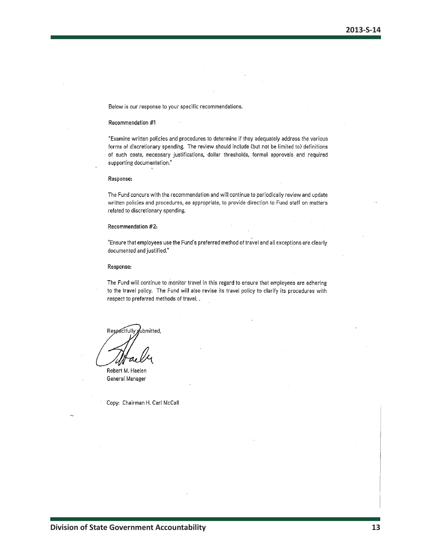Below is our response to your specific recommendations.

Recommendation #1

"Examine written policies and procedures to determine if they adequately address the various forms of discretionary spending. The review should include (but not be limited to) definitions of such costs, necessary justifications, dollar thresholds, formal approvals and required supporting documentation."  $\,$ 

Response:

The Fund concurs with the recommendation and will continue to periodically review and update written policies and procedures, as appropriate, to provide direction to Fund staff on matters related to discretionary spending.

#### Recommendation #2:

"Ensure that employees use the Fund's preferred method of travel and all exceptions are clearly documented and justified."

#### Response:

The Fund will continue to monitor travel in this regard to ensure that employees are adhering to the travel policy. The Fund will also revise its travel policy to clarify its procedures with respect to preferred methods of travel..

Respectfully gubmitted,

Robert M. Haelen General Manager

Copy: Chairman H. Carl McCall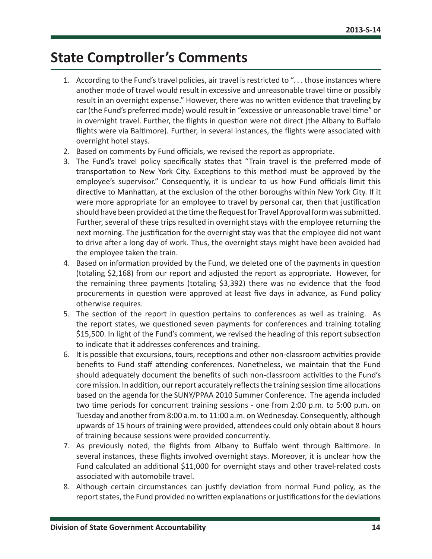# <span id="page-14-0"></span>**State Comptroller's Comments**

- 1. According to the Fund's travel policies, air travel is restricted to ". . . those instances where another mode of travel would result in excessive and unreasonable travel time or possibly result in an overnight expense." However, there was no written evidence that traveling by car (the Fund's preferred mode) would result in "excessive or unreasonable travel time" or in overnight travel. Further, the flights in question were not direct (the Albany to Buffalo flights were via Baltimore). Further, in several instances, the flights were associated with overnight hotel stays.
- 2. Based on comments by Fund officials, we revised the report as appropriate.
- 3. The Fund's travel policy specifically states that "Train travel is the preferred mode of transportation to New York City. Exceptions to this method must be approved by the employee's supervisor." Consequently, it is unclear to us how Fund officials limit this directive to Manhattan, at the exclusion of the other boroughs within New York City. If it were more appropriate for an employee to travel by personal car, then that justification should have been provided at the time the Request for Travel Approval form was submitted. Further, several of these trips resulted in overnight stays with the employee returning the next morning. The justification for the overnight stay was that the employee did not want to drive after a long day of work. Thus, the overnight stays might have been avoided had the employee taken the train.
- 4. Based on information provided by the Fund, we deleted one of the payments in question (totaling \$2,168) from our report and adjusted the report as appropriate. However, for the remaining three payments (totaling \$3,392) there was no evidence that the food procurements in question were approved at least five days in advance, as Fund policy otherwise requires.
- 5. The section of the report in question pertains to conferences as well as training. As the report states, we questioned seven payments for conferences and training totaling \$15,500. In light of the Fund's comment, we revised the heading of this report subsection to indicate that it addresses conferences and training.
- 6. It is possible that excursions, tours, receptions and other non-classroom activities provide benefits to Fund staff attending conferences. Nonetheless, we maintain that the Fund should adequately document the benefits of such non-classroom activities to the Fund's core mission. In addition, our report accurately reflects the training session time allocations based on the agenda for the SUNY/PPAA 2010 Summer Conference. The agenda included two time periods for concurrent training sessions - one from 2:00 p.m. to 5:00 p.m. on Tuesday and another from 8:00 a.m. to 11:00 a.m. on Wednesday. Consequently, although upwards of 15 hours of training were provided, attendees could only obtain about 8 hours of training because sessions were provided concurrently.
- 7. As previously noted, the flights from Albany to Buffalo went through Baltimore. In several instances, these flights involved overnight stays. Moreover, it is unclear how the Fund calculated an additional \$11,000 for overnight stays and other travel-related costs associated with automobile travel.
- 8. Although certain circumstances can justify deviation from normal Fund policy, as the report states, the Fund provided no written explanations or justifications for the deviations